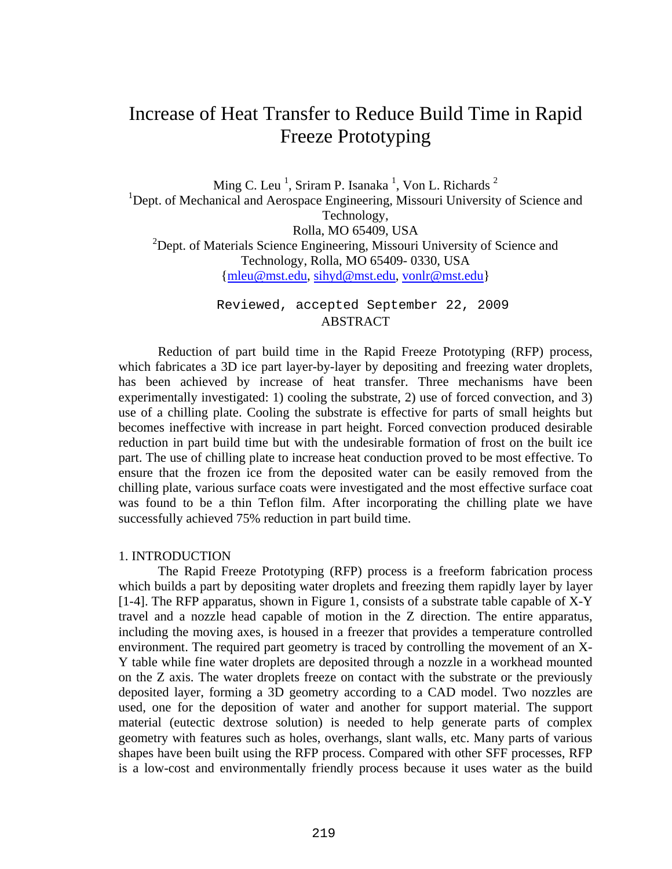# Increase of Heat Transfer to Reduce Build Time in Rapid Freeze Prototyping

Ming C. Leu<sup>1</sup>, Sriram P. Isanaka<sup>1</sup>, Von L. Richards<sup>2</sup> <sup>1</sup>Dept. of Mechanical and Aerospace Engineering, Missouri University of Science and Technology, Rolla, MO 65409, USA <sup>2</sup>Dept. of Materials Science Engineering, Missouri University of Science and Technology, Rolla, MO 65409- 0330, USA {mleu@mst.edu, sihyd@mst.edu, vonlr@mst.edu}

> Reviewed, accepted September 22, 2009 ABSTRACT

Reduction of part build time in the Rapid Freeze Prototyping (RFP) process, which fabricates a 3D ice part layer-by-layer by depositing and freezing water droplets, has been achieved by increase of heat transfer. Three mechanisms have been experimentally investigated: 1) cooling the substrate, 2) use of forced convection, and 3) use of a chilling plate. Cooling the substrate is effective for parts of small heights but becomes ineffective with increase in part height. Forced convection produced desirable reduction in part build time but with the undesirable formation of frost on the built ice part. The use of chilling plate to increase heat conduction proved to be most effective. To ensure that the frozen ice from the deposited water can be easily removed from the chilling plate, various surface coats were investigated and the most effective surface coat was found to be a thin Teflon film. After incorporating the chilling plate we have successfully achieved 75% reduction in part build time.

#### 1. INTRODUCTION

The Rapid Freeze Prototyping (RFP) process is a freeform fabrication process which builds a part by depositing water droplets and freezing them rapidly layer by layer [1-4]. The RFP apparatus, shown in Figure 1, consists of a substrate table capable of X-Y travel and a nozzle head capable of motion in the Z direction. The entire apparatus, including the moving axes, is housed in a freezer that provides a temperature controlled environment. The required part geometry is traced by controlling the movement of an X-Y table while fine water droplets are deposited through a nozzle in a workhead mounted on the Z axis. The water droplets freeze on contact with the substrate or the previously deposited layer, forming a 3D geometry according to a CAD model. Two nozzles are used, one for the deposition of water and another for support material. The support material (eutectic dextrose solution) is needed to help generate parts of complex geometry with features such as holes, overhangs, slant walls, etc. Many parts of various shapes have been built using the RFP process. Compared with other SFF processes, RFP is a low-cost and environmentally friendly process because it uses water as the build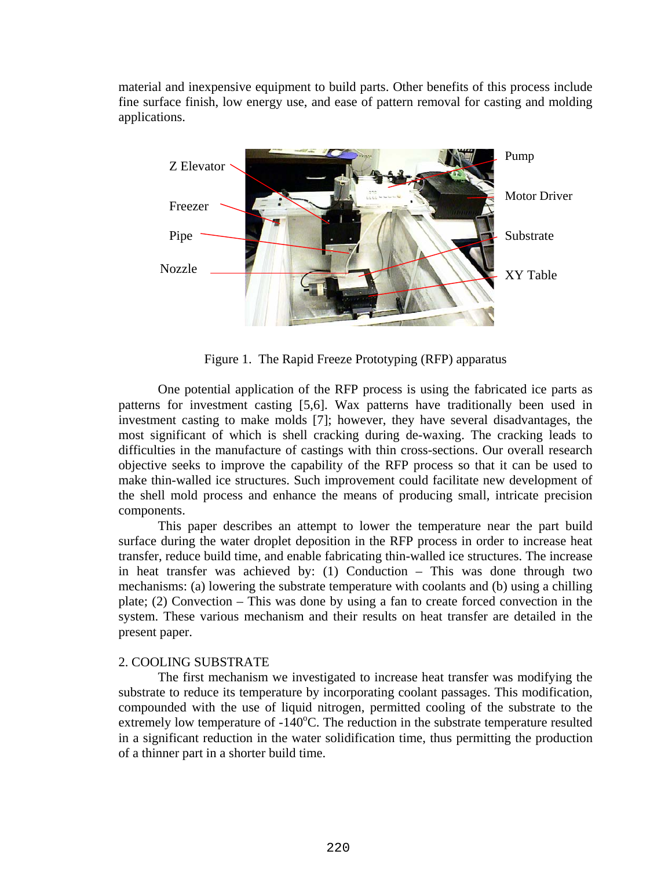material and inexpensive equipment to build parts. Other benefits of this process include fine surface finish, low energy use, and ease of pattern removal for casting and molding applications.



Figure 1. The Rapid Freeze Prototyping (RFP) apparatus

One potential application of the RFP process is using the fabricated ice parts as patterns for investment casting [5,6]. Wax patterns have traditionally been used in investment casting to make molds [7]; however, they have several disadvantages, the most significant of which is shell cracking during de-waxing. The cracking leads to difficulties in the manufacture of castings with thin cross-sections. Our overall research objective seeks to improve the capability of the RFP process so that it can be used to make thin-walled ice structures. Such improvement could facilitate new development of the shell mold process and enhance the means of producing small, intricate precision components.

This paper describes an attempt to lower the temperature near the part build surface during the water droplet deposition in the RFP process in order to increase heat transfer, reduce build time, and enable fabricating thin-walled ice structures. The increase in heat transfer was achieved by: (1) Conduction – This was done through two mechanisms: (a) lowering the substrate temperature with coolants and (b) using a chilling plate; (2) Convection – This was done by using a fan to create forced convection in the system. These various mechanism and their results on heat transfer are detailed in the present paper.

## 2. COOLING SUBSTRATE

The first mechanism we investigated to increase heat transfer was modifying the substrate to reduce its temperature by incorporating coolant passages. This modification, compounded with the use of liquid nitrogen, permitted cooling of the substrate to the extremely low temperature of -140°C. The reduction in the substrate temperature resulted in a significant reduction in the water solidification time, thus permitting the production of a thinner part in a shorter build time.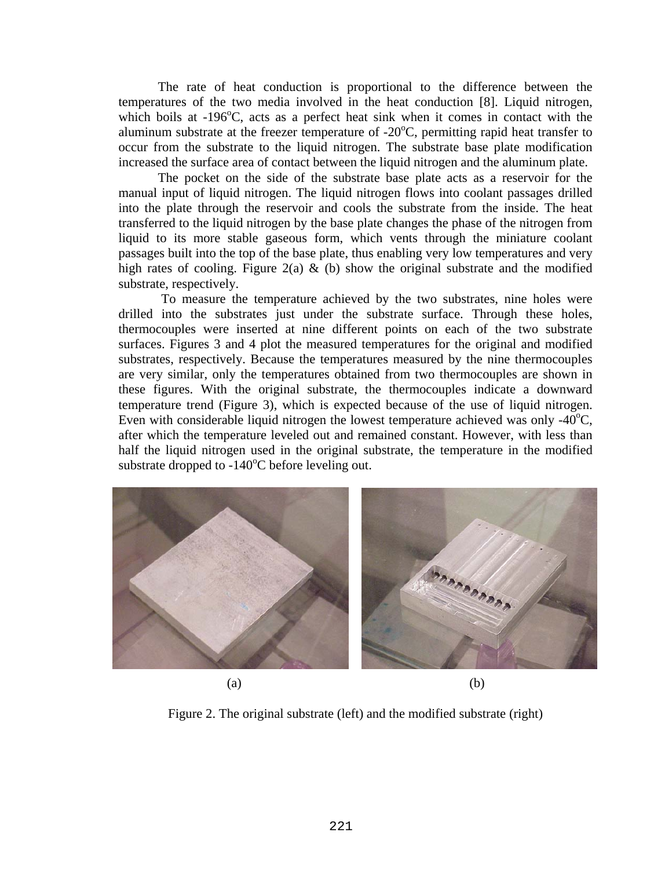The rate of heat conduction is proportional to the difference between the temperatures of the two media involved in the heat conduction [8]. Liquid nitrogen, which boils at -196°C, acts as a perfect heat sink when it comes in contact with the aluminum substrate at the freezer temperature of  $-20^{\circ}$ C, permitting rapid heat transfer to occur from the substrate to the liquid nitrogen. The substrate base plate modification increased the surface area of contact between the liquid nitrogen and the aluminum plate.

The pocket on the side of the substrate base plate acts as a reservoir for the manual input of liquid nitrogen. The liquid nitrogen flows into coolant passages drilled into the plate through the reservoir and cools the substrate from the inside. The heat transferred to the liquid nitrogen by the base plate changes the phase of the nitrogen from liquid to its more stable gaseous form, which vents through the miniature coolant passages built into the top of the base plate, thus enabling very low temperatures and very high rates of cooling. Figure 2(a)  $\&$  (b) show the original substrate and the modified substrate, respectively.

 To measure the temperature achieved by the two substrates, nine holes were drilled into the substrates just under the substrate surface. Through these holes, thermocouples were inserted at nine different points on each of the two substrate surfaces. Figures 3 and 4 plot the measured temperatures for the original and modified substrates, respectively. Because the temperatures measured by the nine thermocouples are very similar, only the temperatures obtained from two thermocouples are shown in these figures. With the original substrate, the thermocouples indicate a downward temperature trend (Figure 3), which is expected because of the use of liquid nitrogen. Even with considerable liquid nitrogen the lowest temperature achieved was only - $40^{\circ}$ C, after which the temperature leveled out and remained constant. However, with less than half the liquid nitrogen used in the original substrate, the temperature in the modified substrate dropped to  $-140^{\circ}$ C before leveling out.



Figure 2. The original substrate (left) and the modified substrate (right)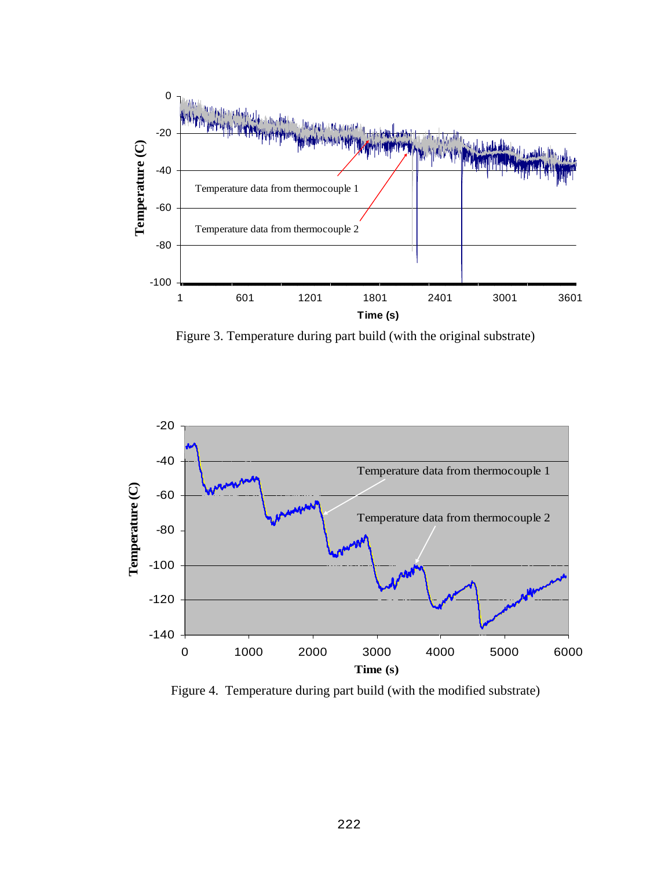

Figure 3. Temperature during part build (with the original substrate)



Figure 4. Temperature during part build (with the modified substrate)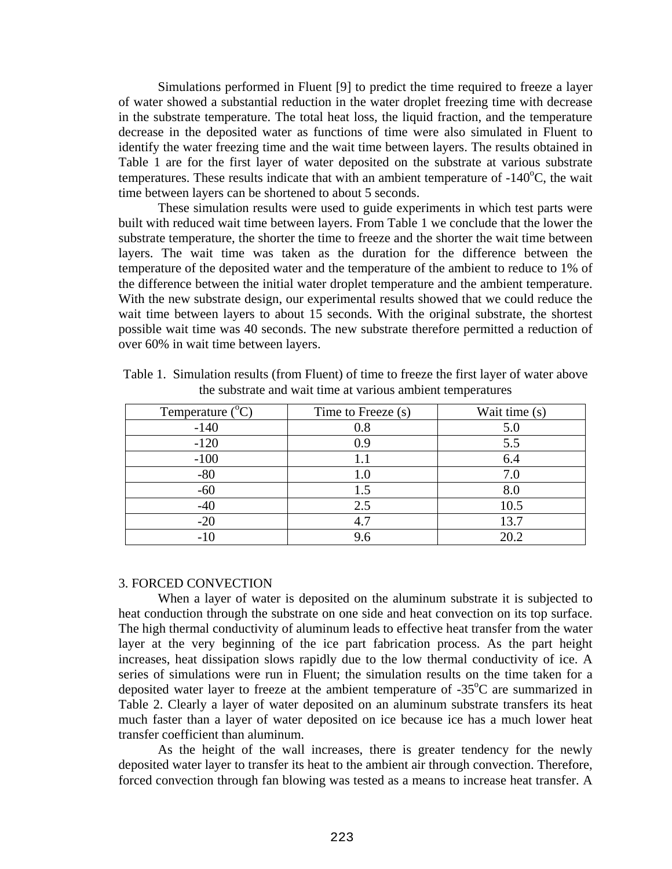Simulations performed in Fluent [9] to predict the time required to freeze a layer of water showed a substantial reduction in the water droplet freezing time with decrease in the substrate temperature. The total heat loss, the liquid fraction, and the temperature decrease in the deposited water as functions of time were also simulated in Fluent to identify the water freezing time and the wait time between layers. The results obtained in Table 1 are for the first layer of water deposited on the substrate at various substrate temperatures. These results indicate that with an ambient temperature of  $-140^{\circ}$ C, the wait time between layers can be shortened to about 5 seconds.

These simulation results were used to guide experiments in which test parts were built with reduced wait time between layers. From Table 1 we conclude that the lower the substrate temperature, the shorter the time to freeze and the shorter the wait time between layers. The wait time was taken as the duration for the difference between the temperature of the deposited water and the temperature of the ambient to reduce to 1% of the difference between the initial water droplet temperature and the ambient temperature. With the new substrate design, our experimental results showed that we could reduce the wait time between layers to about 15 seconds. With the original substrate, the shortest possible wait time was 40 seconds. The new substrate therefore permitted a reduction of over 60% in wait time between layers.

| Temperature $(^{\circ}C)$ | Time to Freeze (s) | Wait time (s) |
|---------------------------|--------------------|---------------|
| $-140$                    | 0.8                | 5.0           |
| $-120$                    | 0.9                | 5.5           |
| $-100$                    |                    | 6.4           |
| $-80$                     | 1.0                | 7.0           |
| $-60$                     | 1.5                | 8.0           |
| $-40$                     | 2.5                | 10.5          |
| $-20$                     | 4.7                | 13.7          |
| $-10$                     |                    | 20.2          |

Table 1. Simulation results (from Fluent) of time to freeze the first layer of water above the substrate and wait time at various ambient temperatures

### 3. FORCED CONVECTION

When a layer of water is deposited on the aluminum substrate it is subjected to heat conduction through the substrate on one side and heat convection on its top surface. The high thermal conductivity of aluminum leads to effective heat transfer from the water layer at the very beginning of the ice part fabrication process. As the part height increases, heat dissipation slows rapidly due to the low thermal conductivity of ice. A series of simulations were run in Fluent; the simulation results on the time taken for a deposited water layer to freeze at the ambient temperature of  $-35^{\circ}$ C are summarized in Table 2. Clearly a layer of water deposited on an aluminum substrate transfers its heat much faster than a layer of water deposited on ice because ice has a much lower heat transfer coefficient than aluminum.

As the height of the wall increases, there is greater tendency for the newly deposited water layer to transfer its heat to the ambient air through convection. Therefore, forced convection through fan blowing was tested as a means to increase heat transfer. A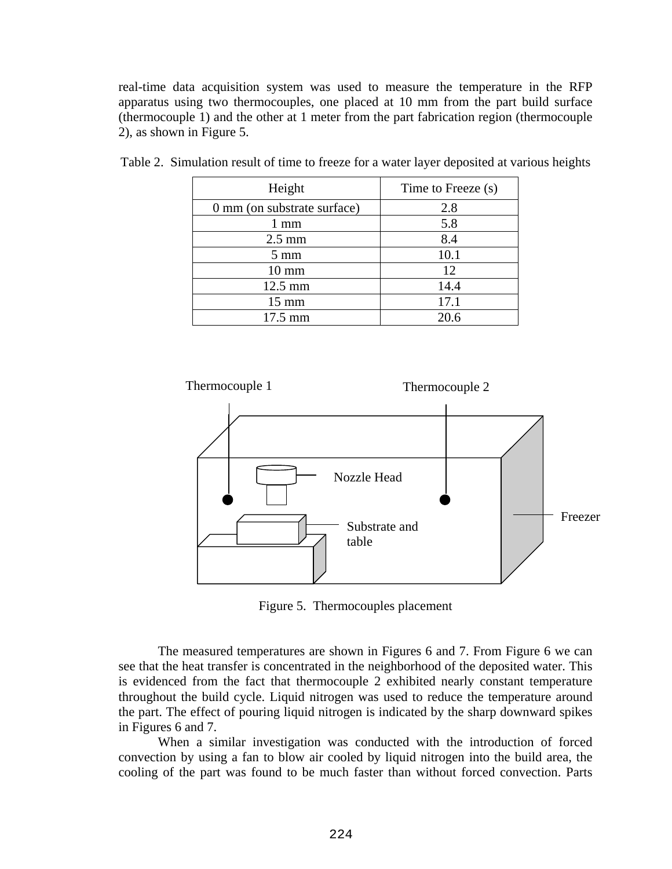real-time data acquisition system was used to measure the temperature in the RFP apparatus using two thermocouples, one placed at 10 mm from the part build surface (thermocouple 1) and the other at 1 meter from the part fabrication region (thermocouple 2), as shown in Figure 5.

| Height                      | Time to Freeze (s) |
|-----------------------------|--------------------|
| 0 mm (on substrate surface) | 2.8                |
| 1 mm                        | 5.8                |
| $2.5 \text{ mm}$            | 8.4                |
| $5 \text{ mm}$              | 10.1               |
| $10 \text{ mm}$             | 12                 |
| 12.5 mm                     | 14.4               |
| $15 \text{ mm}$             | 17.1               |
| 17.5 mm                     | 20.6               |

Table 2. Simulation result of time to freeze for a water layer deposited at various heights



Figure 5. Thermocouples placement

The measured temperatures are shown in Figures 6 and 7. From Figure 6 we can see that the heat transfer is concentrated in the neighborhood of the deposited water. This is evidenced from the fact that thermocouple 2 exhibited nearly constant temperature throughout the build cycle. Liquid nitrogen was used to reduce the temperature around the part. The effect of pouring liquid nitrogen is indicated by the sharp downward spikes in Figures 6 and 7.

When a similar investigation was conducted with the introduction of forced convection by using a fan to blow air cooled by liquid nitrogen into the build area, the cooling of the part was found to be much faster than without forced convection. Parts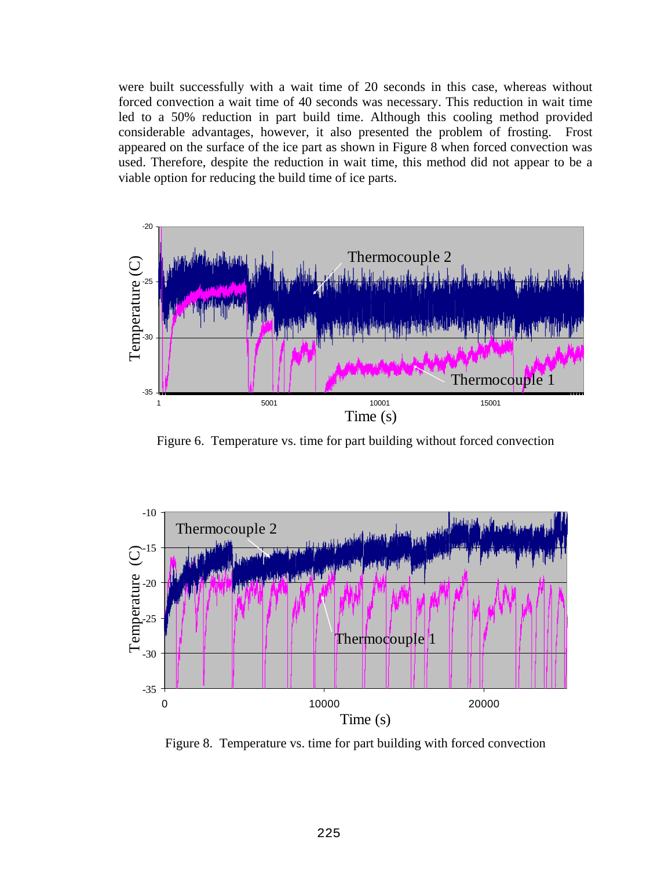were built successfully with a wait time of 20 seconds in this case, whereas without forced convection a wait time of 40 seconds was necessary. This reduction in wait time led to a 50% reduction in part build time. Although this cooling method provided considerable advantages, however, it also presented the problem of frosting. Frost appeared on the surface of the ice part as shown in Figure 8 when forced convection was used. Therefore, despite the reduction in wait time, this method did not appear to be a viable option for reducing the build time of ice parts.



Figure 6. Temperature vs. time for part building without forced convection



Figure 8. Temperature vs. time for part building with forced convection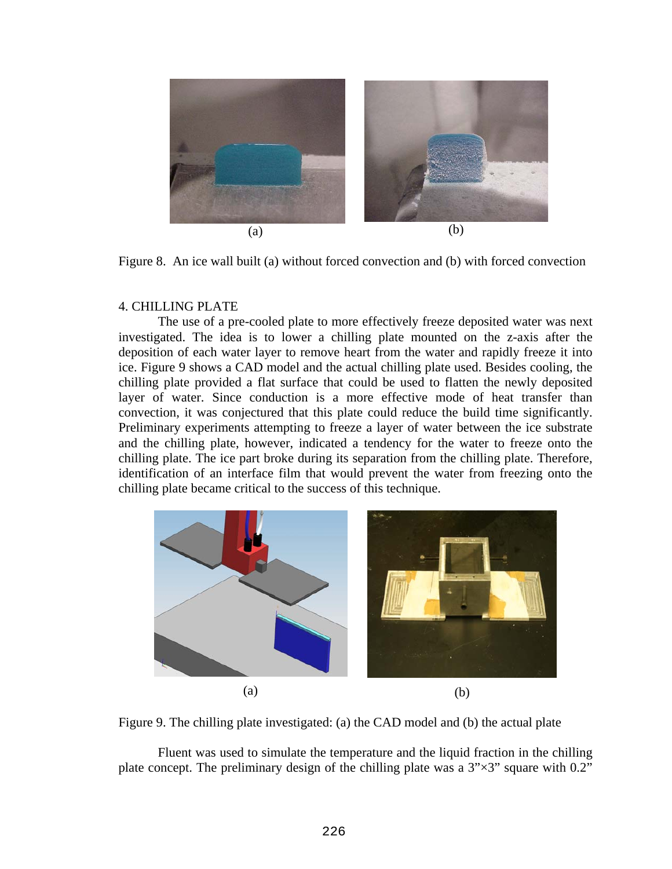

Figure 8. An ice wall built (a) without forced convection and (b) with forced convection

## 4. CHILLING PLATE

The use of a pre-cooled plate to more effectively freeze deposited water was next investigated. The idea is to lower a chilling plate mounted on the z-axis after the deposition of each water layer to remove heart from the water and rapidly freeze it into ice. Figure 9 shows a CAD model and the actual chilling plate used. Besides cooling, the chilling plate provided a flat surface that could be used to flatten the newly deposited layer of water. Since conduction is a more effective mode of heat transfer than convection, it was conjectured that this plate could reduce the build time significantly. Preliminary experiments attempting to freeze a layer of water between the ice substrate and the chilling plate, however, indicated a tendency for the water to freeze onto the chilling plate. The ice part broke during its separation from the chilling plate. Therefore, identification of an interface film that would prevent the water from freezing onto the chilling plate became critical to the success of this technique.





Fluent was used to simulate the temperature and the liquid fraction in the chilling plate concept. The preliminary design of the chilling plate was a  $3" \times 3"$  square with 0.2"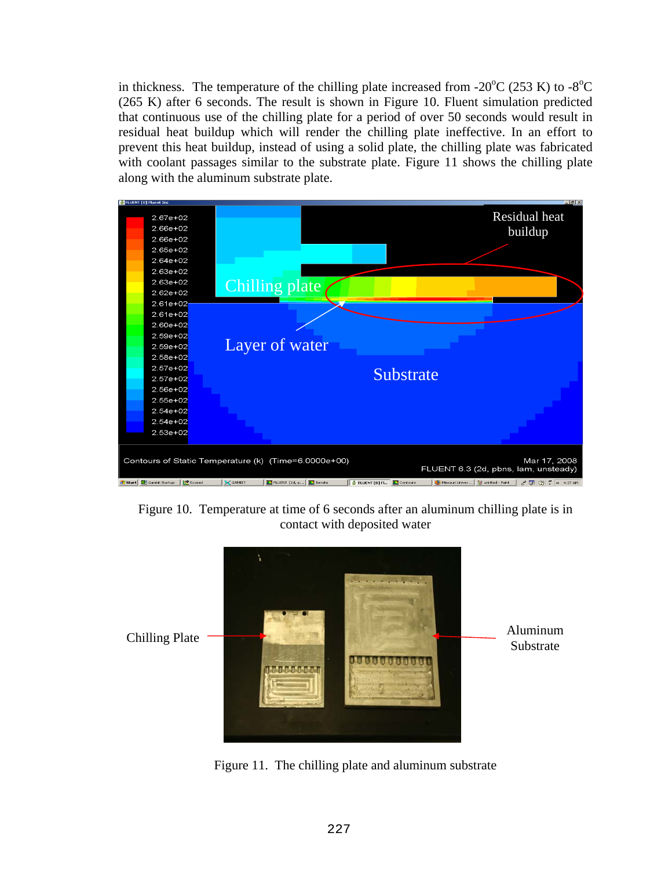in thickness. The temperature of the chilling plate increased from -20 $\rm{^{\circ}C}$  (253 K) to -8 $\rm{^{\circ}C}$ (265 K) after 6 seconds. The result is shown in Figure 10. Fluent simulation predicted that continuous use of the chilling plate for a period of over 50 seconds would result in residual heat buildup which will render the chilling plate ineffective. In an effort to prevent this heat buildup, instead of using a solid plate, the chilling plate was fabricated with coolant passages similar to the substrate plate. Figure 11 shows the chilling plate along with the aluminum substrate plate.



Figure 10. Temperature at time of 6 seconds after an aluminum chilling plate is in contact with deposited water



Figure 11. The chilling plate and aluminum substrate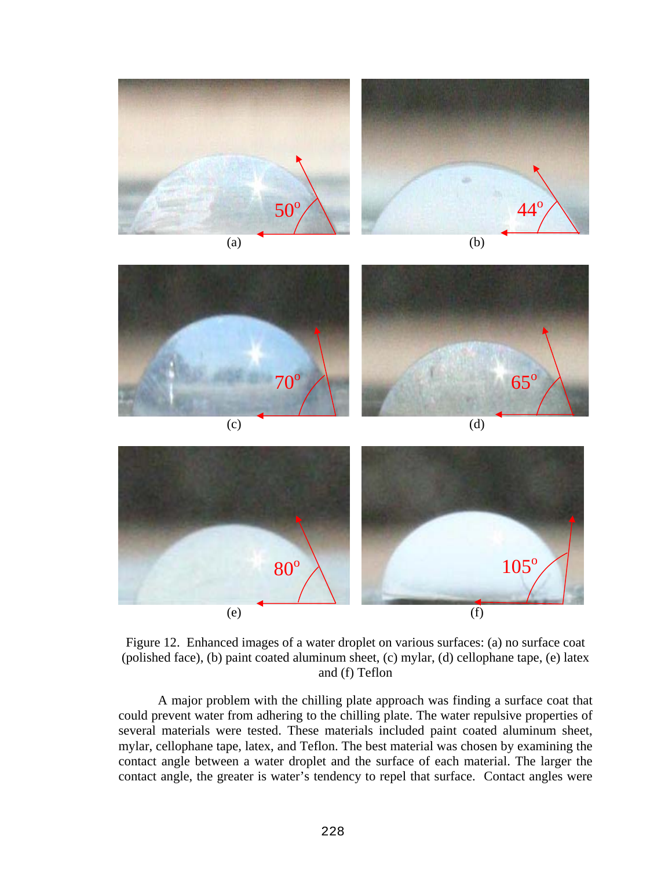

Figure 12. Enhanced images of a water droplet on various surfaces: (a) no surface coat (polished face), (b) paint coated aluminum sheet, (c) mylar, (d) cellophane tape, (e) latex and (f) Teflon

A major problem with the chilling plate approach was finding a surface coat that could prevent water from adhering to the chilling plate. The water repulsive properties of several materials were tested. These materials included paint coated aluminum sheet, mylar, cellophane tape, latex, and Teflon. The best material was chosen by examining the contact angle between a water droplet and the surface of each material. The larger the contact angle, the greater is water's tendency to repel that surface. Contact angles were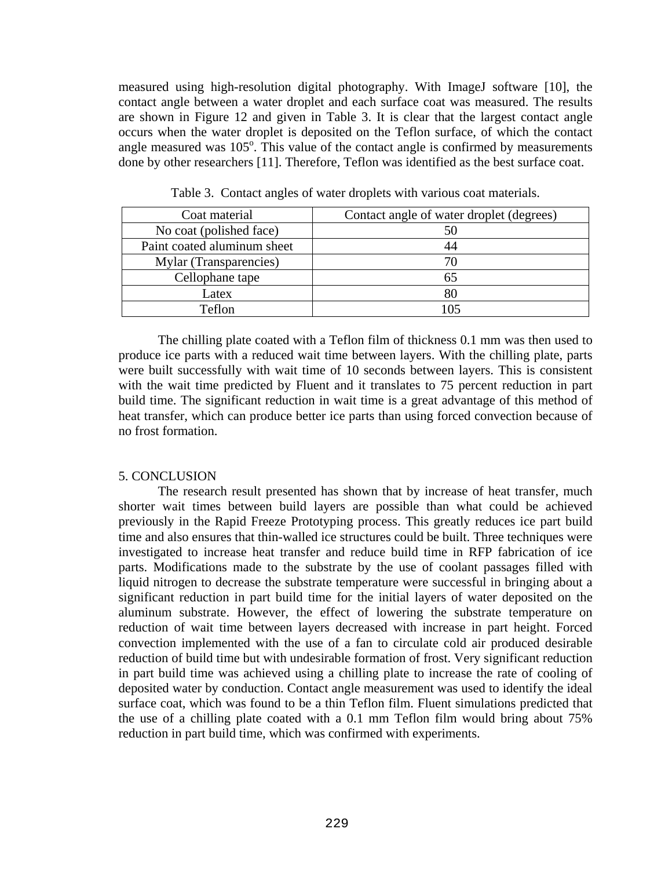measured using high-resolution digital photography. With ImageJ software [10], the contact angle between a water droplet and each surface coat was measured. The results are shown in Figure 12 and given in Table 3. It is clear that the largest contact angle occurs when the water droplet is deposited on the Teflon surface, of which the contact angle measured was  $105^\circ$ . This value of the contact angle is confirmed by measurements done by other researchers [11]. Therefore, Teflon was identified as the best surface coat.

| Coat material               | Contact angle of water droplet (degrees) |
|-----------------------------|------------------------------------------|
| No coat (polished face)     | 50                                       |
| Paint coated aluminum sheet | 44                                       |
| Mylar (Transparencies)      | 70                                       |
| Cellophane tape             | 65                                       |
| Latex                       | 80                                       |
| Teflon                      |                                          |

Table 3. Contact angles of water droplets with various coat materials.

The chilling plate coated with a Teflon film of thickness 0.1 mm was then used to produce ice parts with a reduced wait time between layers. With the chilling plate, parts were built successfully with wait time of 10 seconds between layers. This is consistent with the wait time predicted by Fluent and it translates to 75 percent reduction in part build time. The significant reduction in wait time is a great advantage of this method of heat transfer, which can produce better ice parts than using forced convection because of no frost formation.

## 5. CONCLUSION

The research result presented has shown that by increase of heat transfer, much shorter wait times between build layers are possible than what could be achieved previously in the Rapid Freeze Prototyping process. This greatly reduces ice part build time and also ensures that thin-walled ice structures could be built. Three techniques were investigated to increase heat transfer and reduce build time in RFP fabrication of ice parts. Modifications made to the substrate by the use of coolant passages filled with liquid nitrogen to decrease the substrate temperature were successful in bringing about a significant reduction in part build time for the initial layers of water deposited on the aluminum substrate. However, the effect of lowering the substrate temperature on reduction of wait time between layers decreased with increase in part height. Forced convection implemented with the use of a fan to circulate cold air produced desirable reduction of build time but with undesirable formation of frost. Very significant reduction in part build time was achieved using a chilling plate to increase the rate of cooling of deposited water by conduction. Contact angle measurement was used to identify the ideal surface coat, which was found to be a thin Teflon film. Fluent simulations predicted that the use of a chilling plate coated with a 0.1 mm Teflon film would bring about 75% reduction in part build time, which was confirmed with experiments.